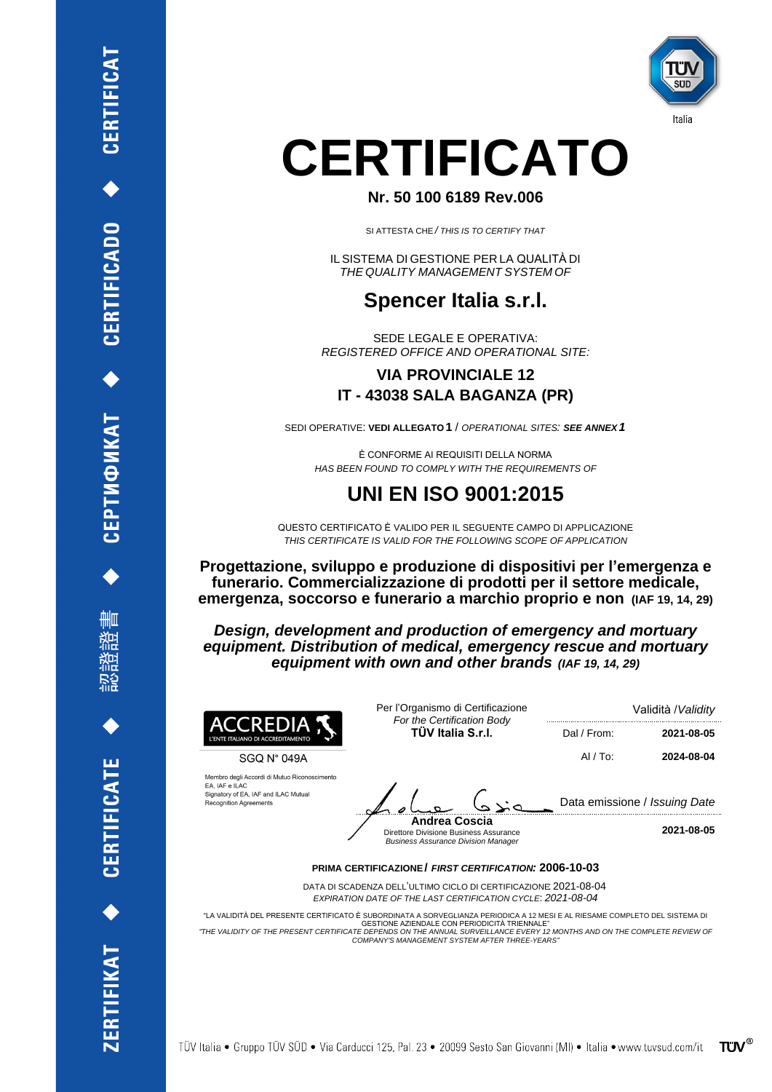



Italia

# CERTIFICATO

### Nr. 50 100 6189 Rev.006

SI ATTESTA CHE / THIS IS TO CERTIFY THAT

IL SISTEMA DI GESTIONE PER LA QUALITÀ DI THE QUALITY MANAGEMENT SYSTEM OF

∰ЩШ<br>¶

当形に対称 地名

**UNI EN ISO 9001:2015** 

QUESTO CERTIFICATO È VALIDO PER IL SEGUENTE CAMPO DI APPLICAZIONE THIS CERTIFICATE IS VALID FOR THE FOLLOWING SCOPE OF APPLICATION

# HAS BEEN FOUND TO COMPLY WITH THE REQUIREMENTS OF

È CONFORME AI REQUISITI DELLA NORMA

SEDI OPERATIVE: VEDI ALLEGATO 1 / OPERATIONAL SITES: SEE ANNEX 1

# **VIA PROVINCIALE 12** IT - 43038 SALA BAGANZA (PR)

SEDE LEGALE E OPERATIVA: **REGISTERED OFFICE AND OPERATIONAL SITE:** 

# Spencer Italia s.r.l.

**ELCATE** 

Progettazione, sviluppo e produzione di dispositivi per l'emergenza e funerario. Commercializzazione di prodotti per il settore medicale, emergenza, soccorso e funerario a marchio proprio e non (IAF 19, 14, 29)

Design, development and production of emergency and mortuary equipment. Distribution of medical, emergency rescue and mortuary equipment with own and other brands (IAF 19, 14, 29)

| ACCREDIA<br>L'ENTE ITALIANO DI ACCREDITAMENTO                                                                                           | Per l'Organismo di Certificazione<br>For the Certification Body<br>TÜV Italia S.r.I. | Validità / Validity           |            |
|-----------------------------------------------------------------------------------------------------------------------------------------|--------------------------------------------------------------------------------------|-------------------------------|------------|
|                                                                                                                                         |                                                                                      | Dal / From:                   | 2021-08-05 |
| SGQ N° 049A                                                                                                                             |                                                                                      | $AI/TO$ :                     | 2024-08-04 |
| Membro degli Accordi di Mutuo Riconoscimento<br>EA, IAF e ILAC<br>Signatory of EA, IAF and ILAC Mutual<br><b>Recognition Agreements</b> |                                                                                      | Data emissione / Issuing Date |            |
|                                                                                                                                         | <b>Andrea Coscia</b><br><b>Direttore Divisione Business Assurance</b>                |                               | 2021-08-05 |

**Business Assurance Division Manager** 

#### **PRIMA CERTIFICAZIONE/ FIRST CERTIFICATION: 2006-10-03**

DATA DI SCADENZA DELL'ULTIMO CICLO DI CERTIFICAZIONE: 2021-08-04 EXPIRATION DATE OF THE LAST CERTIFICATION CYCLE: 2021-08-04

"LA VALIDITÀ DEL PRESENTE CERTIFICATO È SUBORDINATA A SORVEGLIANZA PERIODICA A 12 MESI E AL RIESAME COMPLETO DEL SISTEMA DI **GESTIONE AZIENDALE CON PERIODICITÀ TRIENNALE"** "THE VALIDITY OF THE PRESENT CERTIFICATE DEPENDS ON THE ANNUAL SURVEILLANCE EVERY 12 MONTHS AND ON THE COMPLETE REVIEW OF COMPANY'S MANAGEMENT SYSTEM AFTER THREE-YEARS"

TÜV Italia • Gruppo TÜV SÜD • Via Carducci 125, Pal. 23 • 20099 Sesto San Giovanni (MI) • Italia • www.tuvsud.com/it